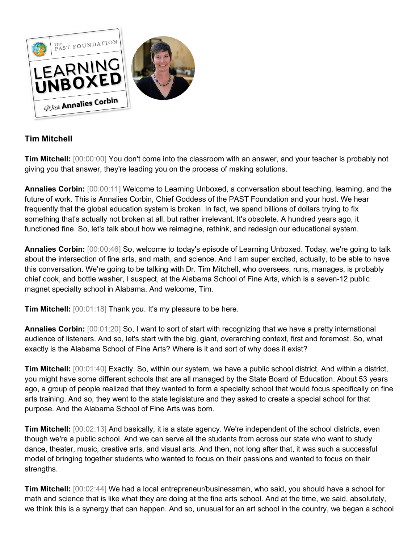

## **Tim Mitchell**

**Tim Mitchell:** [00:00:00] You don't come into the classroom with an answer, and your teacher is probably not giving you that answer, they're leading you on the process of making solutions.

**Annalies Corbin:** [00:00:11] Welcome to Learning Unboxed, a conversation about teaching, learning, and the future of work. This is Annalies Corbin, Chief Goddess of the PAST Foundation and your host. We hear frequently that the global education system is broken. In fact, we spend billions of dollars trying to fix something that's actually not broken at all, but rather irrelevant. It's obsolete. A hundred years ago, it functioned fine. So, let's talk about how we reimagine, rethink, and redesign our educational system.

**Annalies Corbin:** [00:00:46] So, welcome to today's episode of Learning Unboxed. Today, we're going to talk about the intersection of fine arts, and math, and science. And I am super excited, actually, to be able to have this conversation. We're going to be talking with Dr. Tim Mitchell, who oversees, runs, manages, is probably chief cook, and bottle washer, I suspect, at the Alabama School of Fine Arts, which is a seven-12 public magnet specialty school in Alabama. And welcome, Tim.

**Tim Mitchell:** [00:01:18] Thank you. It's my pleasure to be here.

**Annalies Corbin:** [00:01:20] So, I want to sort of start with recognizing that we have a pretty international audience of listeners. And so, let's start with the big, giant, overarching context, first and foremost. So, what exactly is the Alabama School of Fine Arts? Where is it and sort of why does it exist?

**Tim Mitchell:** [00:01:40] Exactly. So, within our system, we have a public school district. And within a district, you might have some different schools that are all managed by the State Board of Education. About 53 years ago, a group of people realized that they wanted to form a specialty school that would focus specifically on fine arts training. And so, they went to the state legislature and they asked to create a special school for that purpose. And the Alabama School of Fine Arts was born.

**Tim Mitchell:** [00:02:13] And basically, it is a state agency. We're independent of the school districts, even though we're a public school. And we can serve all the students from across our state who want to study dance, theater, music, creative arts, and visual arts. And then, not long after that, it was such a successful model of bringing together students who wanted to focus on their passions and wanted to focus on their strengths.

**Tim Mitchell:** [00:02:44] We had a local entrepreneur/businessman, who said, you should have a school for math and science that is like what they are doing at the fine arts school. And at the time, we said, absolutely, we think this is a synergy that can happen. And so, unusual for an art school in the country, we began a school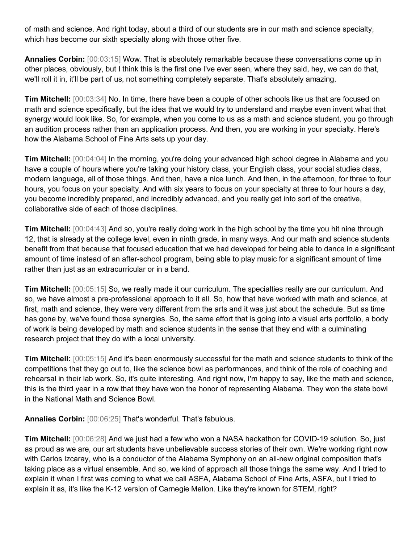of math and science. And right today, about a third of our students are in our math and science specialty, which has become our sixth specialty along with those other five.

**Annalies Corbin:** [00:03:15] Wow. That is absolutely remarkable because these conversations come up in other places, obviously, but I think this is the first one I've ever seen, where they said, hey, we can do that, we'll roll it in, it'll be part of us, not something completely separate. That's absolutely amazing.

**Tim Mitchell:** [00:03:34] No. In time, there have been a couple of other schools like us that are focused on math and science specifically, but the idea that we would try to understand and maybe even invent what that synergy would look like. So, for example, when you come to us as a math and science student, you go through an audition process rather than an application process. And then, you are working in your specialty. Here's how the Alabama School of Fine Arts sets up your day.

**Tim Mitchell:** [00:04:04] In the morning, you're doing your advanced high school degree in Alabama and you have a couple of hours where you're taking your history class, your English class, your social studies class, modern language, all of those things. And then, have a nice lunch. And then, in the afternoon, for three to four hours, you focus on your specialty. And with six years to focus on your specialty at three to four hours a day, you become incredibly prepared, and incredibly advanced, and you really get into sort of the creative, collaborative side of each of those disciplines.

**Tim Mitchell:**  $[00:04:43]$  And so, you're really doing work in the high school by the time you hit nine through 12, that is already at the college level, even in ninth grade, in many ways. And our math and science students benefit from that because that focused education that we had developed for being able to dance in a significant amount of time instead of an after-school program, being able to play music for a significant amount of time rather than just as an extracurricular or in a band.

**Tim Mitchell:** [00:05:15] So, we really made it our curriculum. The specialties really are our curriculum. And so, we have almost a pre-professional approach to it all. So, how that have worked with math and science, at first, math and science, they were very different from the arts and it was just about the schedule. But as time has gone by, we've found those synergies. So, the same effort that is going into a visual arts portfolio, a body of work is being developed by math and science students in the sense that they end with a culminating research project that they do with a local university.

**Tim Mitchell:** [00:05:15] And it's been enormously successful for the math and science students to think of the competitions that they go out to, like the science bowl as performances, and think of the role of coaching and rehearsal in their lab work. So, it's quite interesting. And right now, I'm happy to say, like the math and science, this is the third year in a row that they have won the honor of representing Alabama. They won the state bowl in the National Math and Science Bowl.

**Annalies Corbin:** [00:06:25] That's wonderful. That's fabulous.

**Tim Mitchell:** [00:06:28] And we just had a few who won a NASA hackathon for COVID-19 solution. So, just as proud as we are, our art students have unbelievable success stories of their own. We're working right now with Carlos Izcaray, who is a conductor of the Alabama Symphony on an all-new original composition that's taking place as a virtual ensemble. And so, we kind of approach all those things the same way. And I tried to explain it when I first was coming to what we call ASFA, Alabama School of Fine Arts, ASFA, but I tried to explain it as, it's like the K-12 version of Carnegie Mellon. Like they're known for STEM, right?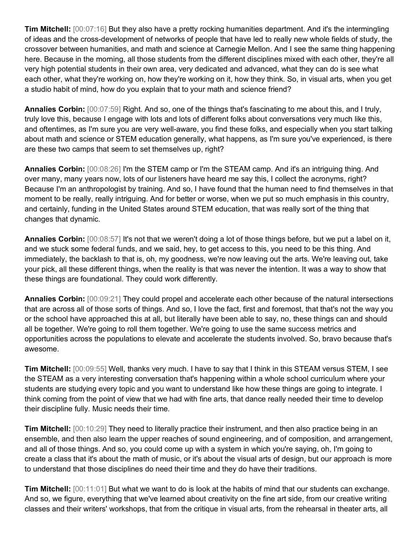**Tim Mitchell:** [00:07:16] But they also have a pretty rocking humanities department. And it's the intermingling of ideas and the cross-development of networks of people that have led to really new whole fields of study, the crossover between humanities, and math and science at Carnegie Mellon. And I see the same thing happening here. Because in the morning, all those students from the different disciplines mixed with each other, they're all very high potential students in their own area, very dedicated and advanced, what they can do is see what each other, what they're working on, how they're working on it, how they think. So, in visual arts, when you get a studio habit of mind, how do you explain that to your math and science friend?

**Annalies Corbin:** [00:07:59] Right. And so, one of the things that's fascinating to me about this, and I truly, truly love this, because I engage with lots and lots of different folks about conversations very much like this, and oftentimes, as I'm sure you are very well-aware, you find these folks, and especially when you start talking about math and science or STEM education generally, what happens, as I'm sure you've experienced, is there are these two camps that seem to set themselves up, right?

**Annalies Corbin:** [00:08:26] I'm the STEM camp or I'm the STEAM camp. And it's an intriguing thing. And over many, many years now, lots of our listeners have heard me say this, I collect the acronyms, right? Because I'm an anthropologist by training. And so, I have found that the human need to find themselves in that moment to be really, really intriguing. And for better or worse, when we put so much emphasis in this country, and certainly, funding in the United States around STEM education, that was really sort of the thing that changes that dynamic.

**Annalies Corbin:** [00:08:57] It's not that we weren't doing a lot of those things before, but we put a label on it, and we stuck some federal funds, and we said, hey, to get access to this, you need to be this thing. And immediately, the backlash to that is, oh, my goodness, we're now leaving out the arts. We're leaving out, take your pick, all these different things, when the reality is that was never the intention. It was a way to show that these things are foundational. They could work differently.

**Annalies Corbin:** [00:09:21] They could propel and accelerate each other because of the natural intersections that are across all of those sorts of things. And so, I love the fact, first and foremost, that that's not the way you or the school have approached this at all, but literally have been able to say, no, these things can and should all be together. We're going to roll them together. We're going to use the same success metrics and opportunities across the populations to elevate and accelerate the students involved. So, bravo because that's awesome.

**Tim Mitchell:** [00:09:55] Well, thanks very much. I have to say that I think in this STEAM versus STEM, I see the STEAM as a very interesting conversation that's happening within a whole school curriculum where your students are studying every topic and you want to understand like how these things are going to integrate. I think coming from the point of view that we had with fine arts, that dance really needed their time to develop their discipline fully. Music needs their time.

**Tim Mitchell:** [00:10:29] They need to literally practice their instrument, and then also practice being in an ensemble, and then also learn the upper reaches of sound engineering, and of composition, and arrangement, and all of those things. And so, you could come up with a system in which you're saying, oh, I'm going to create a class that it's about the math of music, or it's about the visual arts of design, but our approach is more to understand that those disciplines do need their time and they do have their traditions.

**Tim Mitchell:** [00:11:01] But what we want to do is look at the habits of mind that our students can exchange. And so, we figure, everything that we've learned about creativity on the fine art side, from our creative writing classes and their writers' workshops, that from the critique in visual arts, from the rehearsal in theater arts, all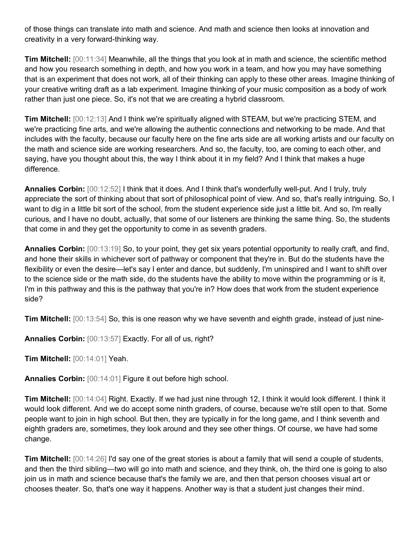of those things can translate into math and science. And math and science then looks at innovation and creativity in a very forward-thinking way.

**Tim Mitchell:** [00:11:34] Meanwhile, all the things that you look at in math and science, the scientific method and how you research something in depth, and how you work in a team, and how you may have something that is an experiment that does not work, all of their thinking can apply to these other areas. Imagine thinking of your creative writing draft as a lab experiment. Imagine thinking of your music composition as a body of work rather than just one piece. So, it's not that we are creating a hybrid classroom.

**Tim Mitchell:** [00:12:13] And I think we're spiritually aligned with STEAM, but we're practicing STEM, and we're practicing fine arts, and we're allowing the authentic connections and networking to be made. And that includes with the faculty, because our faculty here on the fine arts side are all working artists and our faculty on the math and science side are working researchers. And so, the faculty, too, are coming to each other, and saying, have you thought about this, the way I think about it in my field? And I think that makes a huge difference.

**Annalies Corbin:** [00:12:52] I think that it does. And I think that's wonderfully well-put. And I truly, truly appreciate the sort of thinking about that sort of philosophical point of view. And so, that's really intriguing. So, I want to dig in a little bit sort of the school, from the student experience side just a little bit. And so, I'm really curious, and I have no doubt, actually, that some of our listeners are thinking the same thing. So, the students that come in and they get the opportunity to come in as seventh graders.

**Annalies Corbin:** [00:13:19] So, to your point, they get six years potential opportunity to really craft, and find, and hone their skills in whichever sort of pathway or component that they're in. But do the students have the flexibility or even the desire—let's say I enter and dance, but suddenly, I'm uninspired and I want to shift over to the science side or the math side, do the students have the ability to move within the programming or is it, I'm in this pathway and this is the pathway that you're in? How does that work from the student experience side?

**Tim Mitchell:** [00:13:54] So, this is one reason why we have seventh and eighth grade, instead of just nine-

**Annalies Corbin:** [00:13:57] Exactly. For all of us, right?

**Tim Mitchell:** [00:14:01] Yeah.

**Annalies Corbin:** [00:14:01] Figure it out before high school.

**Tim Mitchell:** [00:14:04] Right. Exactly. If we had just nine through 12, I think it would look different. I think it would look different. And we do accept some ninth graders, of course, because we're still open to that. Some people want to join in high school. But then, they are typically in for the long game, and I think seventh and eighth graders are, sometimes, they look around and they see other things. Of course, we have had some change.

**Tim Mitchell:** [00:14:26] I'd say one of the great stories is about a family that will send a couple of students, and then the third sibling—two will go into math and science, and they think, oh, the third one is going to also join us in math and science because that's the family we are, and then that person chooses visual art or chooses theater. So, that's one way it happens. Another way is that a student just changes their mind.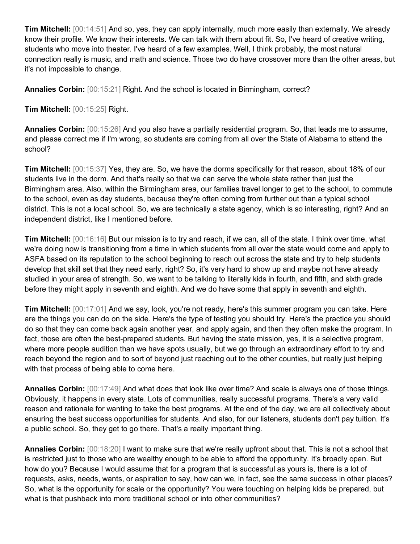**Tim Mitchell:** [00:14:51] And so, yes, they can apply internally, much more easily than externally. We already know their profile. We know their interests. We can talk with them about fit. So, I've heard of creative writing, students who move into theater. I've heard of a few examples. Well, I think probably, the most natural connection really is music, and math and science. Those two do have crossover more than the other areas, but it's not impossible to change.

**Annalies Corbin:** [00:15:21] Right. And the school is located in Birmingham, correct?

**Tim Mitchell:** [00:15:25] Right.

**Annalies Corbin:** [00:15:26] And you also have a partially residential program. So, that leads me to assume, and please correct me if I'm wrong, so students are coming from all over the State of Alabama to attend the school?

**Tim Mitchell:** [00:15:37] Yes, they are. So, we have the dorms specifically for that reason, about 18% of our students live in the dorm. And that's really so that we can serve the whole state rather than just the Birmingham area. Also, within the Birmingham area, our families travel longer to get to the school, to commute to the school, even as day students, because they're often coming from further out than a typical school district. This is not a local school. So, we are technically a state agency, which is so interesting, right? And an independent district, like I mentioned before.

**Tim Mitchell:** [00:16:16] But our mission is to try and reach, if we can, all of the state. I think over time, what we're doing now is transitioning from a time in which students from all over the state would come and apply to ASFA based on its reputation to the school beginning to reach out across the state and try to help students develop that skill set that they need early, right? So, it's very hard to show up and maybe not have already studied in your area of strength. So, we want to be talking to literally kids in fourth, and fifth, and sixth grade before they might apply in seventh and eighth. And we do have some that apply in seventh and eighth.

**Tim Mitchell:** [00:17:01] And we say, look, you're not ready, here's this summer program you can take. Here are the things you can do on the side. Here's the type of testing you should try. Here's the practice you should do so that they can come back again another year, and apply again, and then they often make the program. In fact, those are often the best-prepared students. But having the state mission, yes, it is a selective program, where more people audition than we have spots usually, but we go through an extraordinary effort to try and reach beyond the region and to sort of beyond just reaching out to the other counties, but really just helping with that process of being able to come here.

**Annalies Corbin:** [00:17:49] And what does that look like over time? And scale is always one of those things. Obviously, it happens in every state. Lots of communities, really successful programs. There's a very valid reason and rationale for wanting to take the best programs. At the end of the day, we are all collectively about ensuring the best success opportunities for students. And also, for our listeners, students don't pay tuition. It's a public school. So, they get to go there. That's a really important thing.

**Annalies Corbin:** [00:18:20] I want to make sure that we're really upfront about that. This is not a school that is restricted just to those who are wealthy enough to be able to afford the opportunity. It's broadly open. But how do you? Because I would assume that for a program that is successful as yours is, there is a lot of requests, asks, needs, wants, or aspiration to say, how can we, in fact, see the same success in other places? So, what is the opportunity for scale or the opportunity? You were touching on helping kids be prepared, but what is that pushback into more traditional school or into other communities?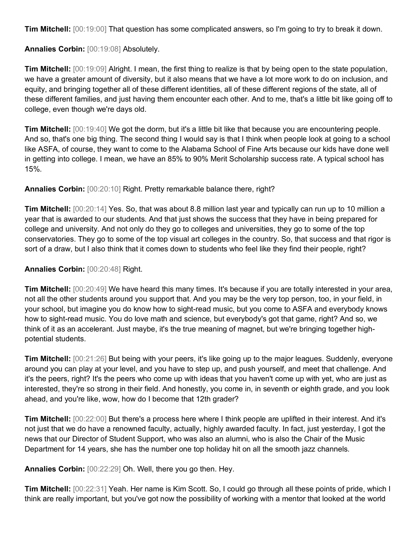**Tim Mitchell:** [00:19:00] That question has some complicated answers, so I'm going to try to break it down.

**Annalies Corbin:** [00:19:08] Absolutely.

**Tim Mitchell:** [00:19:09] Alright. I mean, the first thing to realize is that by being open to the state population, we have a greater amount of diversity, but it also means that we have a lot more work to do on inclusion, and equity, and bringing together all of these different identities, all of these different regions of the state, all of these different families, and just having them encounter each other. And to me, that's a little bit like going off to college, even though we're days old.

**Tim Mitchell:** [00:19:40] We got the dorm, but it's a little bit like that because you are encountering people. And so, that's one big thing. The second thing I would say is that I think when people look at going to a school like ASFA, of course, they want to come to the Alabama School of Fine Arts because our kids have done well in getting into college. I mean, we have an 85% to 90% Merit Scholarship success rate. A typical school has 15%.

**Annalies Corbin:** [00:20:10] Right. Pretty remarkable balance there, right?

**Tim Mitchell:** [00:20:14] Yes. So, that was about 8.8 million last year and typically can run up to 10 million a year that is awarded to our students. And that just shows the success that they have in being prepared for college and university. And not only do they go to colleges and universities, they go to some of the top conservatories. They go to some of the top visual art colleges in the country. So, that success and that rigor is sort of a draw, but I also think that it comes down to students who feel like they find their people, right?

**Annalies Corbin:** [00:20:48] Right.

**Tim Mitchell:** [00:20:49] We have heard this many times. It's because if you are totally interested in your area, not all the other students around you support that. And you may be the very top person, too, in your field, in your school, but imagine you do know how to sight-read music, but you come to ASFA and everybody knows how to sight-read music. You do love math and science, but everybody's got that game, right? And so, we think of it as an accelerant. Just maybe, it's the true meaning of magnet, but we're bringing together highpotential students.

**Tim Mitchell:** [00:21:26] But being with your peers, it's like going up to the major leagues. Suddenly, everyone around you can play at your level, and you have to step up, and push yourself, and meet that challenge. And it's the peers, right? It's the peers who come up with ideas that you haven't come up with yet, who are just as interested, they're so strong in their field. And honestly, you come in, in seventh or eighth grade, and you look ahead, and you're like, wow, how do I become that 12th grader?

**Tim Mitchell:** [00:22:00] But there's a process here where I think people are uplifted in their interest. And it's not just that we do have a renowned faculty, actually, highly awarded faculty. In fact, just yesterday, I got the news that our Director of Student Support, who was also an alumni, who is also the Chair of the Music Department for 14 years, she has the number one top holiday hit on all the smooth jazz channels.

**Annalies Corbin:** [00:22:29] Oh. Well, there you go then. Hey.

**Tim Mitchell:** [00:22:31] Yeah. Her name is Kim Scott. So, I could go through all these points of pride, which I think are really important, but you've got now the possibility of working with a mentor that looked at the world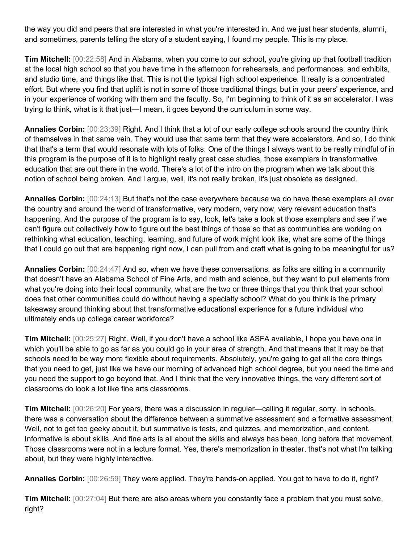the way you did and peers that are interested in what you're interested in. And we just hear students, alumni, and sometimes, parents telling the story of a student saying, I found my people. This is my place.

**Tim Mitchell:** [00:22:58] And in Alabama, when you come to our school, you're giving up that football tradition at the local high school so that you have time in the afternoon for rehearsals, and performances, and exhibits, and studio time, and things like that. This is not the typical high school experience. It really is a concentrated effort. But where you find that uplift is not in some of those traditional things, but in your peers' experience, and in your experience of working with them and the faculty. So, I'm beginning to think of it as an accelerator. I was trying to think, what is it that just—I mean, it goes beyond the curriculum in some way.

**Annalies Corbin:** [00:23:39] Right. And I think that a lot of our early college schools around the country think of themselves in that same vein. They would use that same term that they were accelerators. And so, I do think that that's a term that would resonate with lots of folks. One of the things I always want to be really mindful of in this program is the purpose of it is to highlight really great case studies, those exemplars in transformative education that are out there in the world. There's a lot of the intro on the program when we talk about this notion of school being broken. And I argue, well, it's not really broken, it's just obsolete as designed.

**Annalies Corbin:** [00:24:13] But that's not the case everywhere because we do have these exemplars all over the country and around the world of transformative, very modern, very now, very relevant education that's happening. And the purpose of the program is to say, look, let's take a look at those exemplars and see if we can't figure out collectively how to figure out the best things of those so that as communities are working on rethinking what education, teaching, learning, and future of work might look like, what are some of the things that I could go out that are happening right now, I can pull from and craft what is going to be meaningful for us?

**Annalies Corbin:** [00:24:47] And so, when we have these conversations, as folks are sitting in a community that doesn't have an Alabama School of Fine Arts, and math and science, but they want to pull elements from what you're doing into their local community, what are the two or three things that you think that your school does that other communities could do without having a specialty school? What do you think is the primary takeaway around thinking about that transformative educational experience for a future individual who ultimately ends up college career workforce?

**Tim Mitchell:** [00:25:27] Right. Well, if you don't have a school like ASFA available, I hope you have one in which you'll be able to go as far as you could go in your area of strength. And that means that it may be that schools need to be way more flexible about requirements. Absolutely, you're going to get all the core things that you need to get, just like we have our morning of advanced high school degree, but you need the time and you need the support to go beyond that. And I think that the very innovative things, the very different sort of classrooms do look a lot like fine arts classrooms.

**Tim Mitchell:** [00:26:20] For years, there was a discussion in regular—calling it regular, sorry. In schools, there was a conversation about the difference between a summative assessment and a formative assessment. Well, not to get too geeky about it, but summative is tests, and quizzes, and memorization, and content. Informative is about skills. And fine arts is all about the skills and always has been, long before that movement. Those classrooms were not in a lecture format. Yes, there's memorization in theater, that's not what I'm talking about, but they were highly interactive.

**Annalies Corbin:** [00:26:59] They were applied. They're hands-on applied. You got to have to do it, right?

**Tim Mitchell:** [00:27:04] But there are also areas where you constantly face a problem that you must solve, right?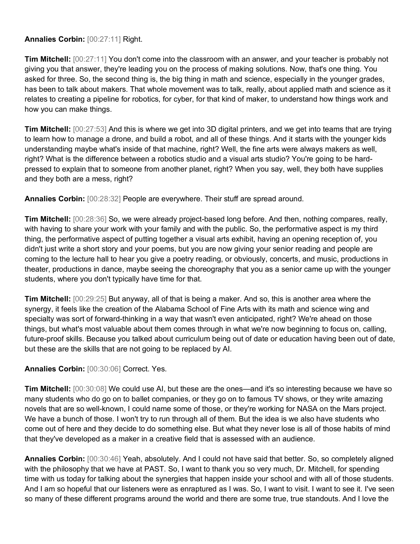## **Annalies Corbin:** [00:27:11] Right.

**Tim Mitchell:** [00:27:11] You don't come into the classroom with an answer, and your teacher is probably not giving you that answer, they're leading you on the process of making solutions. Now, that's one thing. You asked for three. So, the second thing is, the big thing in math and science, especially in the younger grades, has been to talk about makers. That whole movement was to talk, really, about applied math and science as it relates to creating a pipeline for robotics, for cyber, for that kind of maker, to understand how things work and how you can make things.

**Tim Mitchell:** [00:27:53] And this is where we get into 3D digital printers, and we get into teams that are trying to learn how to manage a drone, and build a robot, and all of these things. And it starts with the younger kids understanding maybe what's inside of that machine, right? Well, the fine arts were always makers as well, right? What is the difference between a robotics studio and a visual arts studio? You're going to be hardpressed to explain that to someone from another planet, right? When you say, well, they both have supplies and they both are a mess, right?

**Annalies Corbin:** [00:28:32] People are everywhere. Their stuff are spread around.

**Tim Mitchell:** [00:28:36] So, we were already project-based long before. And then, nothing compares, really, with having to share your work with your family and with the public. So, the performative aspect is my third thing, the performative aspect of putting together a visual arts exhibit, having an opening reception of, you didn't just write a short story and your poems, but you are now giving your senior reading and people are coming to the lecture hall to hear you give a poetry reading, or obviously, concerts, and music, productions in theater, productions in dance, maybe seeing the choreography that you as a senior came up with the younger students, where you don't typically have time for that.

**Tim Mitchell:** [00:29:25] But anyway, all of that is being a maker. And so, this is another area where the synergy, it feels like the creation of the Alabama School of Fine Arts with its math and science wing and specialty was sort of forward-thinking in a way that wasn't even anticipated, right? We're ahead on those things, but what's most valuable about them comes through in what we're now beginning to focus on, calling, future-proof skills. Because you talked about curriculum being out of date or education having been out of date, but these are the skills that are not going to be replaced by AI.

## **Annalies Corbin:** [00:30:06] Correct. Yes.

**Tim Mitchell:** [00:30:08] We could use AI, but these are the ones—and it's so interesting because we have so many students who do go on to ballet companies, or they go on to famous TV shows, or they write amazing novels that are so well-known, I could name some of those, or they're working for NASA on the Mars project. We have a bunch of those. I won't try to run through all of them. But the idea is we also have students who come out of here and they decide to do something else. But what they never lose is all of those habits of mind that they've developed as a maker in a creative field that is assessed with an audience.

**Annalies Corbin:** [00:30:46] Yeah, absolutely. And I could not have said that better. So, so completely aligned with the philosophy that we have at PAST. So, I want to thank you so very much, Dr. Mitchell, for spending time with us today for talking about the synergies that happen inside your school and with all of those students. And I am so hopeful that our listeners were as enraptured as I was. So, I want to visit. I want to see it. I've seen so many of these different programs around the world and there are some true, true standouts. And I love the